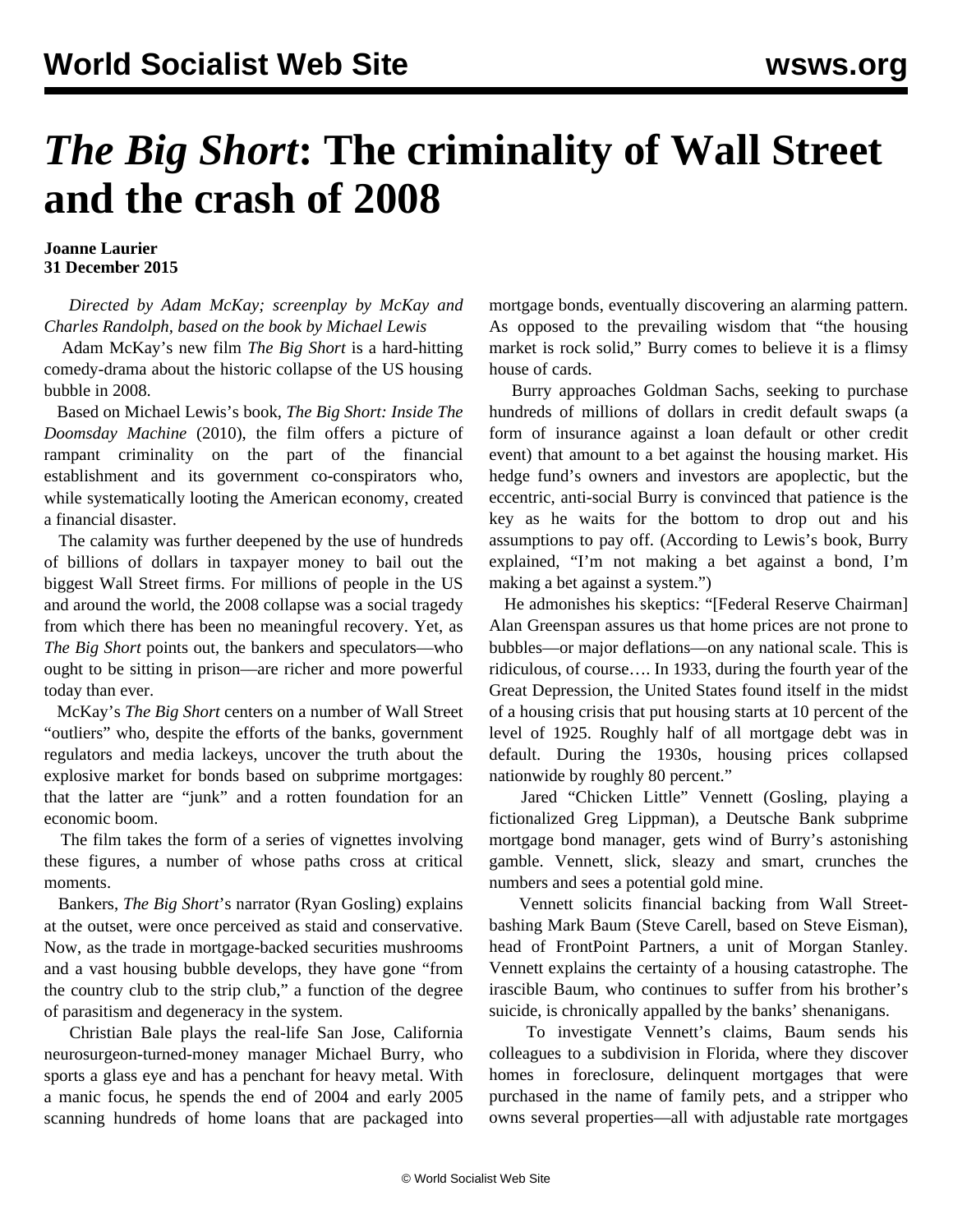## *The Big Short***: The criminality of Wall Street and the crash of 2008**

## **Joanne Laurier 31 December 2015**

 *Directed by Adam McKay; screenplay by McKay and Charles Randolph, based on the book by Michael Lewis*

 Adam McKay's new film *The Big Short* is a hard-hitting comedy-drama about the historic collapse of the US housing bubble in 2008.

 Based on Michael Lewis's book, *The Big Short: Inside The Doomsday Machine* (2010), the film offers a picture of rampant criminality on the part of the financial establishment and its government co-conspirators who, while systematically looting the American economy, created a financial disaster.

 The calamity was further deepened by the use of hundreds of billions of dollars in taxpayer money to bail out the biggest Wall Street firms. For millions of people in the US and around the world, the 2008 collapse was a social tragedy from which there has been no meaningful recovery. Yet, as *The Big Short* points out, the bankers and speculators––who ought to be sitting in prison––are richer and more powerful today than ever.

 McKay's *The Big Short* centers on a number of Wall Street "outliers" who, despite the efforts of the banks, government regulators and media lackeys, uncover the truth about the explosive market for bonds based on subprime mortgages: that the latter are "junk" and a rotten foundation for an economic boom.

 The film takes the form of a series of vignettes involving these figures, a number of whose paths cross at critical moments.

 Bankers, *The Big Short*'s narrator (Ryan Gosling) explains at the outset, were once perceived as staid and conservative. Now, as the trade in mortgage-backed securities mushrooms and a vast housing bubble develops, they have gone "from the country club to the strip club," a function of the degree of parasitism and degeneracy in the system.

 Christian Bale plays the real-life San Jose, California neurosurgeon-turned-money manager Michael Burry, who sports a glass eye and has a penchant for heavy metal. With a manic focus, he spends the end of 2004 and early 2005 scanning hundreds of home loans that are packaged into mortgage bonds, eventually discovering an alarming pattern. As opposed to the prevailing wisdom that "the housing market is rock solid," Burry comes to believe it is a flimsy house of cards.

 Burry approaches Goldman Sachs, seeking to purchase hundreds of millions of dollars in credit default swaps (a form of insurance against a loan default or other credit event) that amount to a bet against the housing market. His hedge fund's owners and investors are apoplectic, but the eccentric, anti-social Burry is convinced that patience is the key as he waits for the bottom to drop out and his assumptions to pay off. (According to Lewis's book, Burry explained, "I'm not making a bet against a bond, I'm making a bet against a system.")

 He admonishes his skeptics: "[Federal Reserve Chairman] Alan Greenspan assures us that home prices are not prone to bubbles––or major deflations––on any national scale. This is ridiculous, of course…. In 1933, during the fourth year of the Great Depression, the United States found itself in the midst of a housing crisis that put housing starts at 10 percent of the level of 1925. Roughly half of all mortgage debt was in default. During the 1930s, housing prices collapsed nationwide by roughly 80 percent."

 Jared "Chicken Little" Vennett (Gosling, playing a fictionalized Greg Lippman), a Deutsche Bank subprime mortgage bond manager, gets wind of Burry's astonishing gamble. Vennett, slick, sleazy and smart, crunches the numbers and sees a potential gold mine.

 Vennett solicits financial backing from Wall Streetbashing Mark Baum (Steve Carell, based on Steve Eisman), head of FrontPoint Partners, a unit of Morgan Stanley. Vennett explains the certainty of a housing catastrophe. The irascible Baum, who continues to suffer from his brother's suicide, is chronically appalled by the banks' shenanigans.

 To investigate Vennett's claims, Baum sends his colleagues to a subdivision in Florida, where they discover homes in foreclosure, delinquent mortgages that were purchased in the name of family pets, and a stripper who owns several properties—all with adjustable rate mortgages